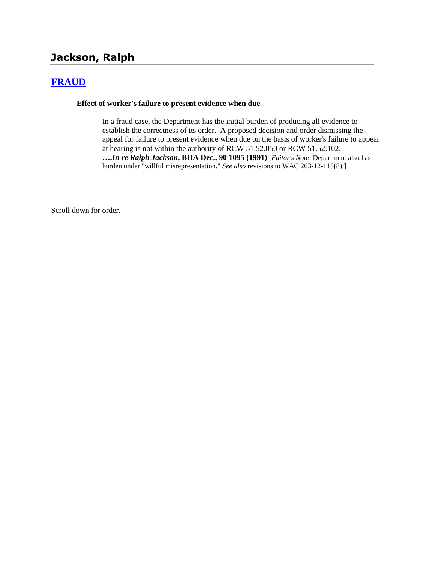# **Jackson, Ralph**

# **[FRAUD](http://www.biia.wa.gov/SDSubjectIndex.html#FRAUD)**

#### **Effect of worker's failure to present evidence when due**

In a fraud case, the Department has the initial burden of producing all evidence to establish the correctness of its order. A proposed decision and order dismissing the appeal for failure to present evidence when due on the basis of worker's failure to appear at hearing is not within the authority of RCW 51.52.050 or RCW 51.52.102. **….***In re Ralph Jackson***, BIIA Dec., 90 1095 (1991)** [*Editor's Note*: Department also has burden under "willful misrepresentation." *See also* revisions to WAC 263-12-115(8).]

Scroll down for order.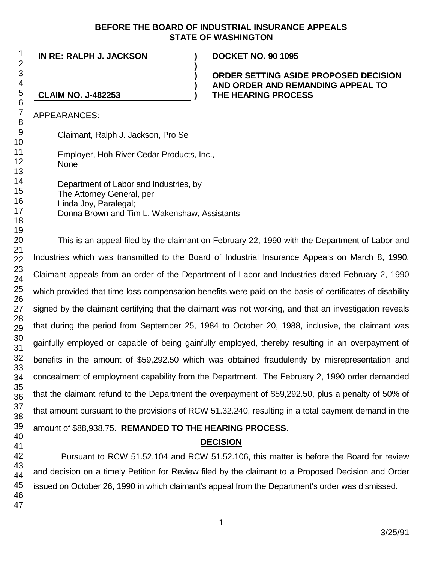#### **BEFORE THE BOARD OF INDUSTRIAL INSURANCE APPEALS STATE OF WASHINGTON**

**)**

**) ) )**

**IN RE: RALPH J. JACKSON ) DOCKET NO. 90 1095**

#### **ORDER SETTING ASIDE PROPOSED DECISION AND ORDER AND REMANDING APPEAL TO THE HEARING PROCESS**

## **CLAIM NO. J-482253**

APPEARANCES:

Claimant, Ralph J. Jackson, Pro Se

Employer, Hoh River Cedar Products, Inc., None

Department of Labor and Industries, by The Attorney General, per Linda Joy, Paralegal; Donna Brown and Tim L. Wakenshaw, Assistants

This is an appeal filed by the claimant on February 22, 1990 with the Department of Labor and Industries which was transmitted to the Board of Industrial Insurance Appeals on March 8, 1990. Claimant appeals from an order of the Department of Labor and Industries dated February 2, 1990 which provided that time loss compensation benefits were paid on the basis of certificates of disability signed by the claimant certifying that the claimant was not working, and that an investigation reveals that during the period from September 25, 1984 to October 20, 1988, inclusive, the claimant was gainfully employed or capable of being gainfully employed, thereby resulting in an overpayment of benefits in the amount of \$59,292.50 which was obtained fraudulently by misrepresentation and concealment of employment capability from the Department. The February 2, 1990 order demanded that the claimant refund to the Department the overpayment of \$59,292.50, plus a penalty of 50% of that amount pursuant to the provisions of RCW 51.32.240, resulting in a total payment demand in the amount of \$88,938.75. **REMANDED TO THE HEARING PROCESS**.

# **DECISION**

Pursuant to RCW 51.52.104 and RCW 51.52.106, this matter is before the Board for review and decision on a timely Petition for Review filed by the claimant to a Proposed Decision and Order issued on October 26, 1990 in which claimant's appeal from the Department's order was dismissed.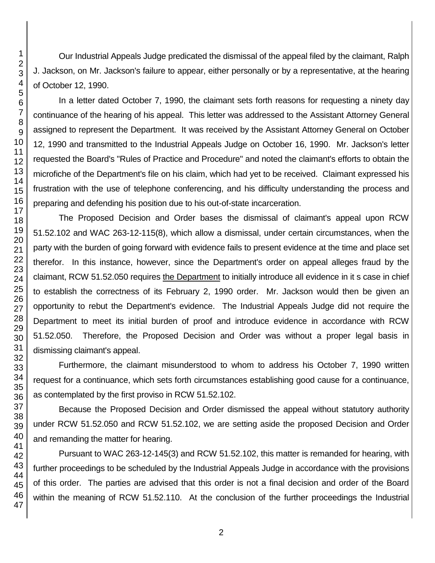Our Industrial Appeals Judge predicated the dismissal of the appeal filed by the claimant, Ralph J. Jackson, on Mr. Jackson's failure to appear, either personally or by a representative, at the hearing of October 12, 1990.

In a letter dated October 7, 1990, the claimant sets forth reasons for requesting a ninety day continuance of the hearing of his appeal. This letter was addressed to the Assistant Attorney General assigned to represent the Department. It was received by the Assistant Attorney General on October 12, 1990 and transmitted to the Industrial Appeals Judge on October 16, 1990. Mr. Jackson's letter requested the Board's "Rules of Practice and Procedure" and noted the claimant's efforts to obtain the microfiche of the Department's file on his claim, which had yet to be received. Claimant expressed his frustration with the use of telephone conferencing, and his difficulty understanding the process and preparing and defending his position due to his out-of-state incarceration.

The Proposed Decision and Order bases the dismissal of claimant's appeal upon RCW 51.52.102 and WAC 263-12-115(8), which allow a dismissal, under certain circumstances, when the party with the burden of going forward with evidence fails to present evidence at the time and place set therefor. In this instance, however, since the Department's order on appeal alleges fraud by the claimant, RCW 51.52.050 requires the Department to initially introduce all evidence in it s case in chief to establish the correctness of its February 2, 1990 order. Mr. Jackson would then be given an opportunity to rebut the Department's evidence. The Industrial Appeals Judge did not require the Department to meet its initial burden of proof and introduce evidence in accordance with RCW 51.52.050. Therefore, the Proposed Decision and Order was without a proper legal basis in dismissing claimant's appeal.

Furthermore, the claimant misunderstood to whom to address his October 7, 1990 written request for a continuance, which sets forth circumstances establishing good cause for a continuance, as contemplated by the first proviso in RCW 51.52.102.

Because the Proposed Decision and Order dismissed the appeal without statutory authority under RCW 51.52.050 and RCW 51.52.102, we are setting aside the proposed Decision and Order and remanding the matter for hearing.

Pursuant to WAC 263-12-145(3) and RCW 51.52.102, this matter is remanded for hearing, with further proceedings to be scheduled by the Industrial Appeals Judge in accordance with the provisions of this order. The parties are advised that this order is not a final decision and order of the Board within the meaning of RCW 51.52.110. At the conclusion of the further proceedings the Industrial